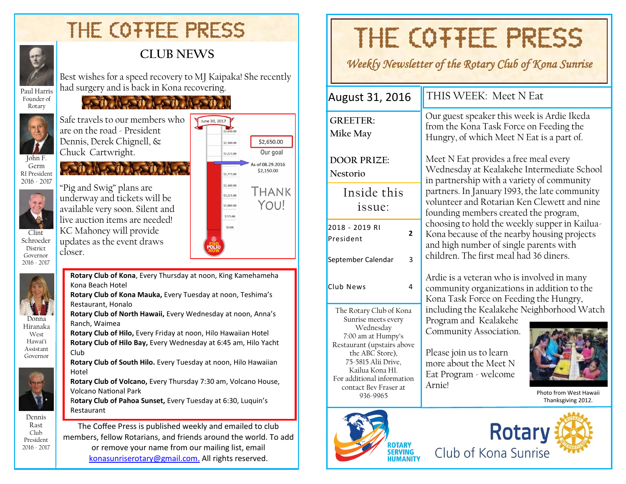# THE COTTEE PRESS

**LOW NEOW LOW NEOW** 



#### **CLUB NEWS**

Best wishes for a speed recovery to MJ Kaipaka! She recently had surgery and is back in Kona recovering.

Paul Harris Founder of Rotary



Safe travels to our members who are on the road - President Dennis, Derek Chignell, & Chuck Cartwright.

**CONTRACTOR** 

Germ RI President 2016 - 2017



Schroeder **District** Governor 2016 - 2017

Donna Hiranaka West Hawai'i Assistant Governor

Dennis Rast Club President 2016 - 2017

"Pig and Swig" plans are underway and tickets will be available very soon. Silent and live auction items are needed! KC Mahoney will provide updates as the event draws closer.



**Rotary Club of Kona**, Every Thursday at noon, King Kamehameha Kona Beach Hotel

**Rotary Club of Kona Mauka,** Every Tuesday at noon, Teshima's Restaurant, Honalo

**Rotary Club of North Hawaii,** Every Wednesday at noon, Anna's Ranch, Waimea

**Rotary Club of Hilo,** Every Friday at noon, Hilo Hawaiian Hotel

**Rotary Club of Hilo Bay,** Every Wednesday at 6:45 am, Hilo Yacht Club

**Rotary Club of South Hilo.** Every Tuesday at noon, Hilo Hawaiian Hotel

**Rotary Club of Volcano,** Every Thursday 7:30 am, Volcano House, Volcano National Park

R**otary Club of Pahoa Sunset,** Every Tuesday at 6:30, Luquin's Restaurant

The Coffee Press is published weekly and emailed to club members, fellow Rotarians, and friends around the world. To add or remove your name from our mailing list, email [konasunriserotary@gmail.com.](mailto:konasunriserotary@gmail.com.) All rights reserved.

# THE COTTEE PRESS

*Weekly Newsletter of the Rotary Club of Kona Sunrise* 

2018 - 2019 RI President **2** September Calendar 3 Club News 4 Inside this issue: **GREETER: Mike May DOOR PRIZE: Nestorio**  August 31, 2016  $\parallel$  THIS WEEK: Meet N Eat The Rotary Club of Kona Sunrise meets every Wednesday 7:00 am at Humpy's Restaurant (upstairs above the ABC Store), 75-5815 Alii Drive, Kailua Kona HI. For additional information contact Bev Fraser at 936-9965 Our guest speaker this week is Ardie Ikeda from the Kona Task Force on Feeding the Hungry, of which Meet N Eat is a part of. Meet N Eat provides a free meal every Wednesday at Kealakehe Intermediate School in partnership with a variety of community partners. In January 1993, the late community volunteer and Rotarian Ken Clewett and nine founding members created the program, choosing to hold the weekly supper in Kailua-Kona because of the nearby housing projects and high number of single parents with children. The first meal had 36 diners. Ardie is a veteran who is involved in many community organizations in addition to the Kona Task Force on Feeding the Hungry, including the Kealakehe Neighborhood Watch Program and Kealakehe Community Association. Please join us to learn more about the Meet N Eat Program - welcome Arnie! Photo from West Hawaii Thanksgiving 2012.